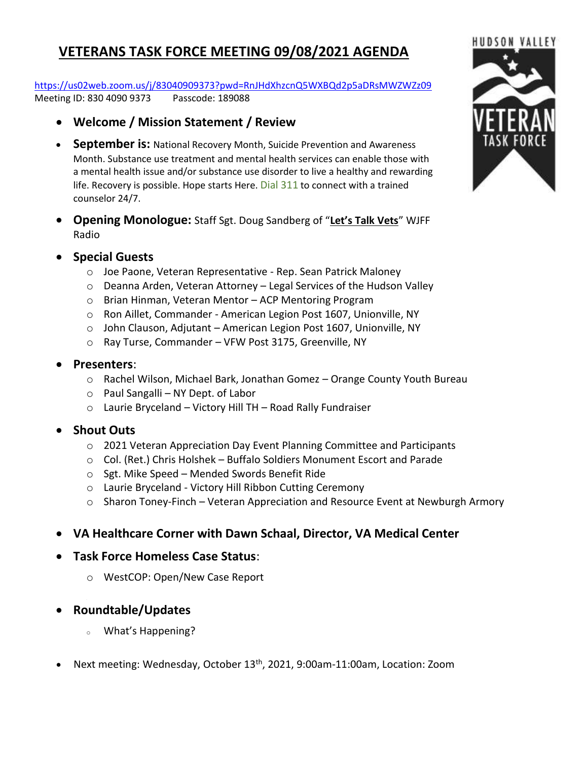## **VETERANS TASK FORCE MEETING 09/08/2021 AGENDA**

<https://us02web.zoom.us/j/83040909373?pwd=RnJHdXhzcnQ5WXBQd2p5aDRsMWZWZz09> Meeting ID: 830 4090 9373 Passcode: 189088

- **Welcome / Mission Statement / Review**
- **September is:** National Recovery Month, Suicide Prevention and Awareness Month. Substance use treatment and mental health services can enable those with a mental health issue and/or substance use disorder to live a healthy and rewarding life. Recovery is possible. Hope starts Here. Dial 311 to connect with a trained counselor 24/7.
- **Opening Monologue:** Staff Sgt. Doug Sandberg of "**Let's Talk Vets**" WJFF Radio
- **Special Guests**
	- o Joe Paone, Veteran Representative Rep. Sean Patrick Maloney
	- o Deanna Arden, Veteran Attorney Legal Services of the Hudson Valley
	- o Brian Hinman, Veteran Mentor ACP Mentoring Program
	- o Ron Aillet, Commander American Legion Post 1607, Unionville, NY
	- o John Clauson, Adjutant American Legion Post 1607, Unionville, NY
	- o Ray Turse, Commander VFW Post 3175, Greenville, NY
- **Presenters**:
	- o Rachel Wilson, Michael Bark, Jonathan Gomez Orange County Youth Bureau
	- o Paul Sangalli NY Dept. of Labor
	- o Laurie Bryceland Victory Hill TH Road Rally Fundraiser

## • **Shout Outs**

- o 2021 Veteran Appreciation Day Event Planning Committee and Participants
- o Col. (Ret.) Chris Holshek Buffalo Soldiers Monument Escort and Parade
- o Sgt. Mike Speed Mended Swords Benefit Ride
- o Laurie Bryceland Victory Hill Ribbon Cutting Ceremony
- o Sharon Toney-Finch Veteran Appreciation and Resource Event at Newburgh Armory
- **VA Healthcare Corner with Dawn Schaal, Director, VA Medical Center**
- **Task Force Homeless Case Status**:
	- o WestCOP: Open/New Case Report
- **Roundtable/Updates**
	- What's Happening?
- Next meeting: Wednesday, October 13th, 2021, 9:00am-11:00am, Location: Zoom